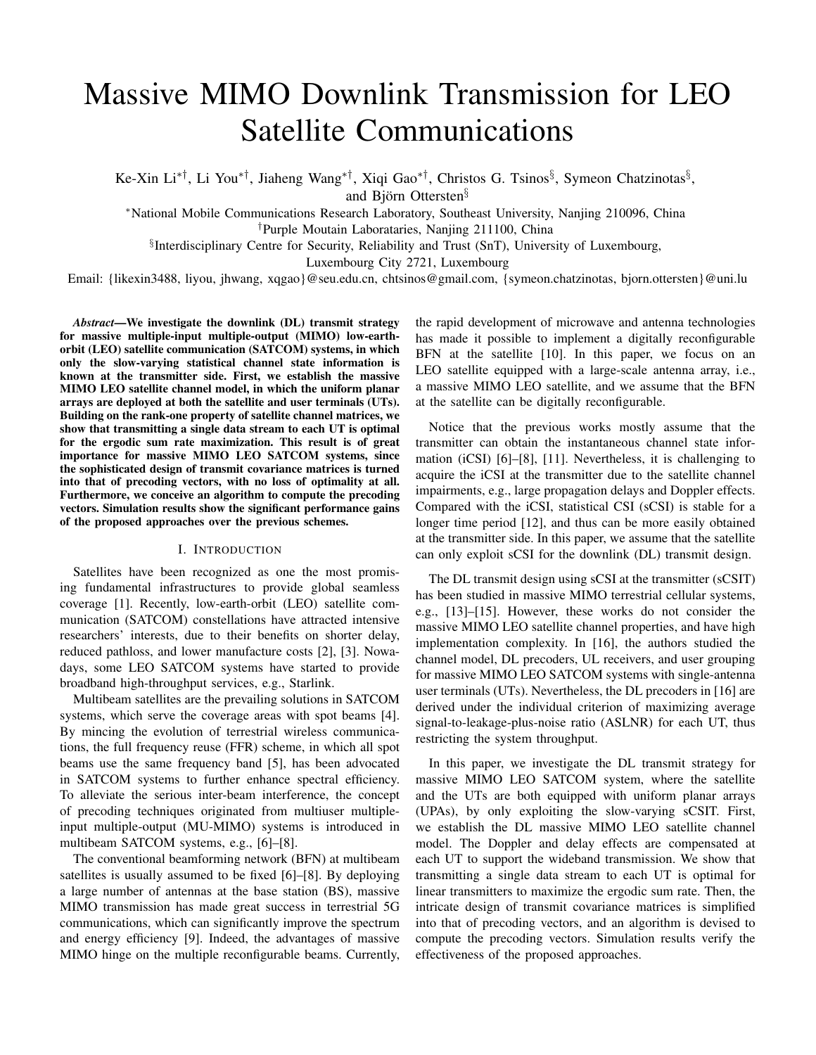# Massive MIMO Downlink Transmission for LEO Satellite Communications

Ke-Xin Li*∗†*, Li You*∗†*, Jiaheng Wang*∗†*, Xiqi Gao*∗†*, Christos G. Tsinos*§* , Symeon Chatzinotas*§* ,

and Björn Ottersten*§*

*<sup>∗</sup>*National Mobile Communications Research Laboratory, Southeast University, Nanjing 210096, China *†*Purple Moutain Laborataries, Nanjing 211100, China

*§* Interdisciplinary Centre for Security, Reliability and Trust (SnT), University of Luxembourg,

Luxembourg City 2721, Luxembourg

Email: {likexin3488, liyou, jhwang, xqgao}@seu.edu.cn, chtsinos@gmail.com, {symeon.chatzinotas, bjorn.ottersten}@uni.lu

*Abstract*—We investigate the downlink (DL) transmit strategy for massive multiple-input multiple-output (MIMO) low-earthorbit (LEO) satellite communication (SATCOM) systems, in which only the slow-varying statistical channel state information is known at the transmitter side. First, we establish the massive MIMO LEO satellite channel model, in which the uniform planar arrays are deployed at both the satellite and user terminals (UTs). Building on the rank-one property of satellite channel matrices, we show that transmitting a single data stream to each UT is optimal for the ergodic sum rate maximization. This result is of great importance for massive MIMO LEO SATCOM systems, since the sophisticated design of transmit covariance matrices is turned into that of precoding vectors, with no loss of optimality at all. Furthermore, we conceive an algorithm to compute the precoding vectors. Simulation results show the significant performance gains of the proposed approaches over the previous schemes.

### I. INTRODUCTION

Satellites have been recognized as one the most promising fundamental infrastructures to provide global seamless coverage [\[1](#page-4-0)]. Recently, low-earth-orbit (LEO) satellite communication (SATCOM) constellations have attracted intensive researchers' interests, due to their benefits on shorter delay, reduced pathloss, and lower manufacture costs [[2\]](#page-4-1), [\[3](#page-4-2)]. Nowadays, some LEO SATCOM systems have started to provide broadband high-throughput services, e.g., Starlink.

Multibeam satellites are the prevailing solutions in SATCOM systems, which serve the coverage areas with spot beams [\[4](#page-4-3)]. By mincing the evolution of terrestrial wireless communications, the full frequency reuse (FFR) scheme, in which all spot beams use the same frequency band [\[5](#page-4-4)], has been advocated in SATCOM systems to further enhance spectral efficiency. To alleviate the serious inter-beam interference, the concept of precoding techniques originated from multiuser multipleinput multiple-output (MU-MIMO) systems is introduced in multibeam SATCOM systems, e.g., [\[6](#page-4-5)]–[[8\]](#page-4-6).

The conventional beamforming network (BFN) at multibeam satellites is usually assumed to be fixed [\[6](#page-4-5)]–[[8\]](#page-4-6). By deploying a large number of antennas at the base station (BS), massive MIMO transmission has made great success in terrestrial 5G communications, which can significantly improve the spectrum and energy efficiency [[9\]](#page-4-7). Indeed, the advantages of massive MIMO hinge on the multiple reconfigurable beams. Currently,

the rapid development of microwave and antenna technologies has made it possible to implement a digitally reconfigurable BFN at the satellite [\[10](#page-4-8)]. In this paper, we focus on an LEO satellite equipped with a large-scale antenna array, i.e., a massive MIMO LEO satellite, and we assume that the BFN at the satellite can be digitally reconfigurable.

Notice that the previous works mostly assume that the transmitter can obtain the instantaneous channel state information (iCSI) [\[6](#page-4-5)]–[[8\]](#page-4-6), [[11\]](#page-4-9). Nevertheless, it is challenging to acquire the iCSI at the transmitter due to the satellite channel impairments, e.g., large propagation delays and Doppler effects. Compared with the iCSI, statistical CSI (sCSI) is stable for a longer time period [\[12](#page-4-10)], and thus can be more easily obtained at the transmitter side. In this paper, we assume that the satellite can only exploit sCSI for the downlink (DL) transmit design.

The DL transmit design using sCSI at the transmitter (sCSIT) has been studied in massive MIMO terrestrial cellular systems, e.g., [[13\]](#page-4-11)–[[15](#page-4-12)]. However, these works do not consider the massive MIMO LEO satellite channel properties, and have high implementation complexity. In [\[16](#page-4-13)], the authors studied the channel model, DL precoders, UL receivers, and user grouping for massive MIMO LEO SATCOM systems with single-antenna user terminals (UTs). Nevertheless, the DL precoders in [\[16](#page-4-13)] are derived under the individual criterion of maximizing average signal-to-leakage-plus-noise ratio (ASLNR) for each UT, thus restricting the system throughput.

In this paper, we investigate the DL transmit strategy for massive MIMO LEO SATCOM system, where the satellite and the UTs are both equipped with uniform planar arrays (UPAs), by only exploiting the slow-varying sCSIT. First, we establish the DL massive MIMO LEO satellite channel model. The Doppler and delay effects are compensated at each UT to support the wideband transmission. We show that transmitting a single data stream to each UT is optimal for linear transmitters to maximize the ergodic sum rate. Then, the intricate design of transmit covariance matrices is simplified into that of precoding vectors, and an algorithm is devised to compute the precoding vectors. Simulation results verify the effectiveness of the proposed approaches.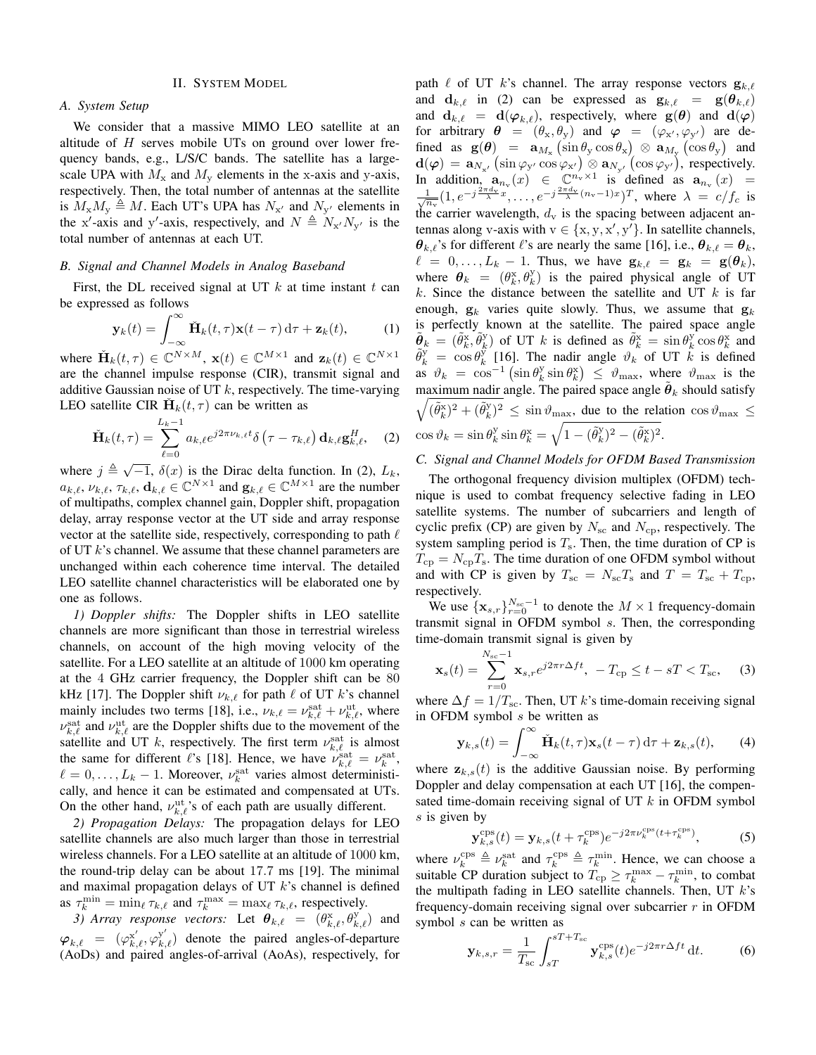### II. SYSTEM MODEL

#### <span id="page-1-2"></span>*A. System Setup*

We consider that a massive MIMO LEO satellite at an altitude of *H* serves mobile UTs on ground over lower frequency bands, e.g., L/S/C bands. The satellite has a largescale UPA with  $M_x$  and  $M_y$  elements in the x-axis and y-axis, respectively. Then, the total number of antennas at the satellite is  $M_x M_y \triangleq M$ . Each UT's UPA has  $N_{x'}$  and  $N_{y'}$  elements in the x'-axis and y'-axis, respectively, and  $N \triangleq N_{x}N_{y'}$  is the total number of antennas at each UT.

#### *B. Signal and Channel Models in Analog Baseband*

First, the DL received signal at UT *k* at time instant *t* can be expressed as follows

$$
\mathbf{y}_k(t) = \int_{-\infty}^{\infty} \check{\mathbf{H}}_k(t,\tau) \mathbf{x}(t-\tau) d\tau + \mathbf{z}_k(t), \quad (1)
$$

where  $\check{H}_k(t,\tau) \in \mathbb{C}^{N \times M}$ ,  $\mathbf{x}(t) \in \mathbb{C}^{M \times 1}$  and  $\mathbf{z}_k(t) \in \mathbb{C}^{N \times 1}$ are the channel impulse response (CIR), transmit signal and additive Gaussian noise of UT *k*, respectively. The time-varying LEO satellite CIR  $\check{H}_k(t,\tau)$  can be written as

$$
\check{\mathbf{H}}_k(t,\tau) = \sum_{\ell=0}^{L_k-1} a_{k,\ell} e^{j2\pi \nu_{k,\ell} t} \delta\left(\tau - \tau_{k,\ell}\right) \mathbf{d}_{k,\ell} \mathbf{g}_{k,\ell}^H,
$$
 (2)

where  $j \triangleq \sqrt{-1}$ ,  $\delta(x)$  is the Dirac delta function. In [\(2](#page-1-0)),  $L_k$ ,  $a_{k,\ell}, \nu_{k,\ell}, \tau_{k,\ell}, \mathbf{d}_{k,\ell} \in \mathbb{C}^{N \times 1}$  and  $\mathbf{g}_{k,\ell} \in \mathbb{C}^{M \times 1}$  are the number of multipaths, complex channel gain, Doppler shift, propagation delay, array response vector at the UT side and array response vector at the satellite side, respectively, corresponding to path *ℓ* of UT *k*'s channel. We assume that these channel parameters are unchanged within each coherence time interval. The detailed LEO satellite channel characteristics will be elaborated one by one as follows.

*1) Doppler shifts:* The Doppler shifts in LEO satellite channels are more significant than those in terrestrial wireless channels, on account of the high moving velocity of the satellite. For a LEO satellite at an altitude of 1000 km operating at the 4 GHz carrier frequency, the Doppler shift can be 80 kHz [\[17](#page-4-14)]. The Doppler shift  $\nu_{k,\ell}$  for path  $\ell$  of UT  $k$ 's channel mainly includes two terms [[18\]](#page-4-15), i.e.,  $\nu_{k,\ell} = \nu_{k,\ell}^{\text{sat}} + \nu_{k,\ell}^{\text{ut}}$ , where  $\nu_{k,\ell}^{\text{sat}}$  and  $\nu_{k,\ell}^{\text{ut}}$  are the Doppler shifts due to the movement of the satellite and UT *k*, respectively. The first term  $\nu_{k,\ell}^{\text{sat}}$  is almost the same for different *ℓ*'s [\[18](#page-4-15)]. Hence, we have  $\nu_{k,\ell}^{\text{sat}} = \nu_k^{\text{sat}}$ ,  $\ell = 0, \ldots, L_k - 1$ . Moreover,  $\nu_k^{\text{sat}}$  varies almost deterministically, and hence it can be estimated and compensated at UTs. On the other hand,  $\nu_{k,\ell}^{\text{ut}}$ 's of each path are usually different.

*2) Propagation Delays:* The propagation delays for LEO satellite channels are also much larger than those in terrestrial wireless channels. For a LEO satellite at an altitude of 1000 km, the round-trip delay can be about 17*.*7 ms [[19\]](#page-4-16). The minimal and maximal propagation delays of UT *k*'s channel is defined as  $\tau_k^{\min} = \min_{\ell} \tau_{k,\ell}$  and  $\tau_k^{\max} = \max_{\ell} \tau_{k,\ell}$ , respectively.

*3) Array response vectors:* Let  $\boldsymbol{\theta}_{k,\ell} = (\theta_{k,\ell}^x, \theta_{k,\ell}^y)$  and  $\varphi_{k,\ell} = (\varphi_{k,\ell}^{x'}, \varphi_{k,\ell}^{y'})$  denote the paired angles-of-departure (AoDs) and paired angles-of-arrival (AoAs), respectively, for path  $\ell$  of UT  $k$ 's channel. The array response vectors  $\mathbf{g}_{k,\ell}$ and  $\mathbf{d}_{k,\ell}$  in ([2\)](#page-1-0) can be expressed as  $\mathbf{g}_{k,\ell} = \mathbf{g}(\boldsymbol{\theta}_{k,\ell})$ and  $\mathbf{d}_{k,\ell} = \mathbf{d}(\varphi_{k,\ell})$ , respectively, where  $\mathbf{g}(\theta)$  and  $\mathbf{d}(\varphi)$ for arbitrary  $\theta = (\theta_x, \theta_y)$  and  $\varphi = (\varphi_{x'}, \varphi_{y'})$  are defined as  $g(\theta) = a_{M_x} (\sin \theta_y \cos \theta_x) \otimes a_{M_y} (\cos \theta_y)$  and  $\mathbf{d}(\varphi) = \mathbf{a}_{N_{\mathbf{x}'}}\left(\sin\varphi_{\mathbf{y}'}\cos\varphi_{\mathbf{x}'}\right) \otimes \mathbf{a}_{N_{\mathbf{y}'}}\left(\cos\varphi_{\mathbf{y}'}\right)$ , respectively. In addition,  $\mathbf{a}_{n_v}(x) \in \mathbb{C}^{n_v \times 1}$  is defined as  $\mathbf{a}_{n_v}(x) =$  $\frac{1}{\sqrt{n_v}}(1, e^{-j\frac{2\pi d_v}{\lambda}x}, \ldots, e^{-j\frac{2\pi d_v}{\lambda}(n_v-1)x})^T$ , where  $\lambda = c/f_c$  is the carrier wavelength,  $d_v$  is the spacing between adjacent antennas along v-axis with  $v \in \{x, y, x', y'\}$ . In satellite channels, *θ*<sup>*k*</sup>,*ℓ*<sup>'s</sup> for different *ℓ*<sup>'s</sup> are nearly the same [[16\]](#page-4-13), i.e.,  $θ$ <sup>*k*</sup>, $ℓ = θ$ <sup>*k*</sup>,  $\ell = 0, \ldots, L_k - 1$ . Thus, we have  $\mathbf{g}_{k,\ell} = \mathbf{g}_k = \mathbf{g}(\boldsymbol{\theta}_k)$ , where  $\theta_k = (\theta_k^x, \theta_k^y)$  is the paired physical angle of UT *k*. Since the distance between the satellite and UT *k* is far enough,  $g_k$  varies quite slowly. Thus, we assume that  $g_k$ is perfectly known at the satellite. The paired space angle  $\tilde{\theta}_k = (\tilde{\theta}_k^x, \tilde{\theta}_k^y)$  of UT *k* is defined as  $\tilde{\theta}_k^x = \sin \theta_k^y \cos \theta_k^x$  and  $\tilde{\theta}_k^y = \cos \theta_k^y$  [\[16](#page-4-13)]. The nadir angle  $\vartheta_k^y$  of UT  $k$  is defined  $\int_{\alpha}^{\alpha} \vartheta_k = \cos^{-1}(\sin \theta_k^y) \sin \theta_k^x \leq \vartheta_{\text{max}}$ , where  $\vartheta_{\text{max}}$  is the maximum nadir angle. The paired space angle  $\tilde{\theta}_k$  should satisfy  $\sqrt{(\tilde{\theta}_k^{\rm x})^2 + (\tilde{\theta}_k^{\rm y})^2} \le \sin \vartheta_{\rm max}$ , due to the relation  $\cos \vartheta_{\rm max} \le$  $\cos \vartheta_k = \sin \theta_k^{\text{y}} \sin \theta_k^{\text{x}} = \sqrt{1 - (\tilde{\theta}_k^{\text{y}})^2 - (\tilde{\theta}_k^{\text{x}})^2}.$ 

## <span id="page-1-0"></span>*C. Signal and Channel Models for OFDM Based Transmission*

The orthogonal frequency division multiplex (OFDM) technique is used to combat frequency selective fading in LEO satellite systems. The number of subcarriers and length of cyclic prefix (CP) are given by  $N_{\rm sc}$  and  $N_{\rm cp}$ , respectively. The system sampling period is  $T_s$ . Then, the time duration of CP is  $T_{\rm cp} = N_{\rm cp}T_{\rm s}$ . The time duration of one OFDM symbol without and with CP is given by  $T_{\text{sc}} = N_{\text{sc}}T_{\text{s}}$  and  $T = T_{\text{sc}} + T_{\text{cp}}$ , respectively.

We use  ${\mathbf x}_{s,r}$ <sub>*r*=0</sub><sup>*N*<sub>sc</sub><sup>-1</sup></sub> to denote the *M* × 1 frequency-domain</sup> transmit signal in OFDM symbol *s*. Then, the corresponding time-domain transmit signal is given by

$$
\mathbf{x}_{s}(t) = \sum_{r=0}^{N_{\rm sc}-1} \mathbf{x}_{s,r} e^{j2\pi r \Delta ft}, \ -T_{\rm cp} \le t - sT < T_{\rm sc}, \tag{3}
$$

where  $\Delta f = 1/T_{\text{sc}}$ . Then, UT *k*'s time-domain receiving signal in OFDM symbol *s* be written as

$$
\mathbf{y}_{k,s}(t) = \int_{-\infty}^{\infty} \check{\mathbf{H}}_k(t,\tau) \mathbf{x}_s(t-\tau) d\tau + \mathbf{z}_{k,s}(t), \qquad (4)
$$

where  $z_{k,s}(t)$  is the additive Gaussian noise. By performing Doppler and delay compensation at each UT [\[16](#page-4-13)], the compensated time-domain receiving signal of UT *k* in OFDM symbol *s* is given by

$$
\mathbf{y}_{k,s}^{\text{cps}}(t) = \mathbf{y}_{k,s}(t + \tau_k^{\text{cps}})e^{-j2\pi\nu_k^{\text{cps}}(t + \tau_k^{\text{cps}})},
$$
(5)

where  $\nu_k^{\text{cps}} \triangleq \nu_k^{\text{sat}}$  and  $\tau_k^{\text{cps}} \triangleq \tau_k^{\text{min}}$ . Hence, we can choose a suitable CP duration subject to  $T_{cp} \geq \tau_k^{\max} - \tau_k^{\min}$ , to combat the multipath fading in LEO satellite channels. Then, UT *k*'s frequency-domain receiving signal over subcarrier *r* in OFDM symbol *s* can be written as

<span id="page-1-1"></span>
$$
\mathbf{y}_{k,s,r} = \frac{1}{T_{\rm sc}} \int_{sT}^{sT + T_{\rm sc}} \mathbf{y}_{k,s}^{\rm cps}(t) e^{-j2\pi r \Delta ft} \, \mathrm{d}t. \tag{6}
$$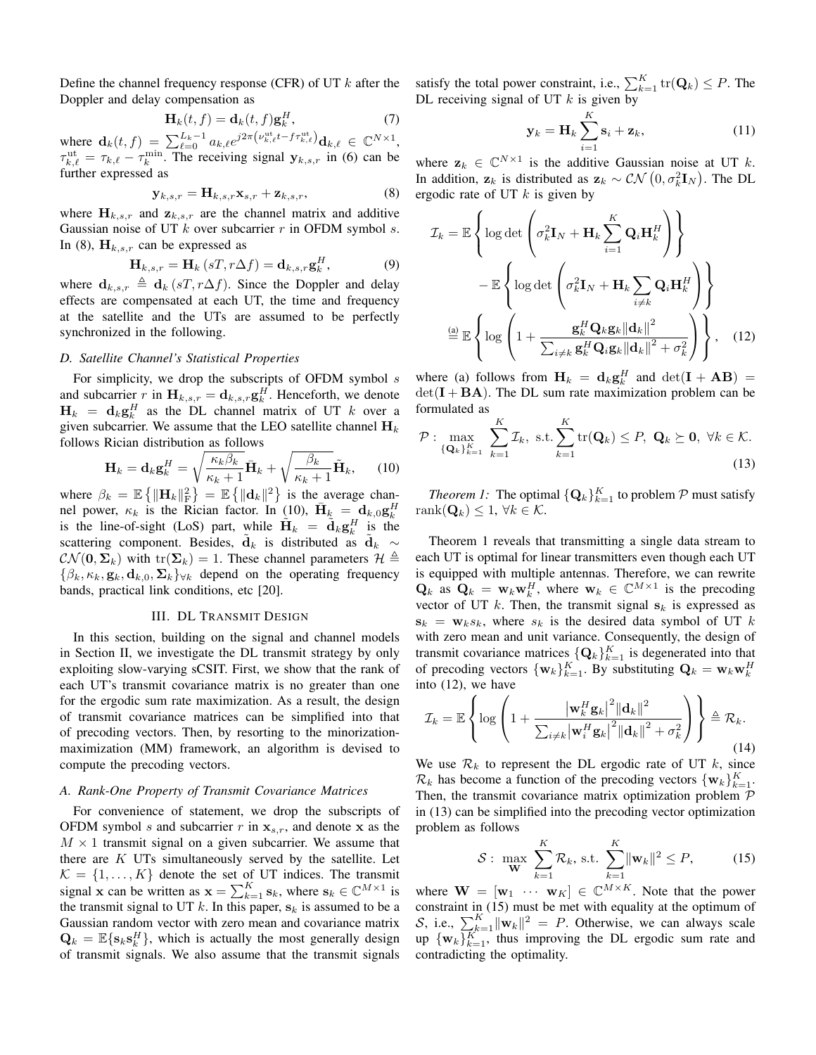Define the channel frequency response (CFR) of UT *k* after the Doppler and delay compensation as

<span id="page-2-6"></span>
$$
\mathbf{H}_k(t,f) = \mathbf{d}_k(t,f)\mathbf{g}_k^H,\tag{7}
$$

where  $\mathbf{d}_k(t,f) = \sum_{\ell=0}^{L_k-1} a_{k,\ell} e^{j2\pi \left(\nu_{k,\ell}^{\text{ut}}t - f \tau_{k,\ell}^{\text{ut}}\right)} \mathbf{d}_{k,\ell} \in \mathbb{C}^{N \times 1}$ ,  $\tau_{k,\ell}^{\text{ut}} = \tau_{k,\ell} - \tau_k^{\text{min}}$ . The receiving signal  $\mathbf{y}_{k,s,r}$  in [\(6](#page-1-1)) can be further expressed as

<span id="page-2-0"></span>
$$
\mathbf{y}_{k,s,r} = \mathbf{H}_{k,s,r} \mathbf{x}_{s,r} + \mathbf{z}_{k,s,r},\tag{8}
$$

where  $\mathbf{H}_{k,s,r}$  and  $\mathbf{z}_{k,s,r}$  are the channel matrix and additive Gaussian noise of UT *k* over subcarrier *r* in OFDM symbol *s*. In [\(8](#page-2-0)),  $H_{k,s,r}$  can be expressed as

$$
\mathbf{H}_{k,s,r} = \mathbf{H}_k \left( sT, r\Delta f \right) = \mathbf{d}_{k,s,r} \mathbf{g}_k^H,
$$
 (9)

where  $\mathbf{d}_{k,s,r} \triangleq \mathbf{d}_k (sT, r\Delta f)$ . Since the Doppler and delay effects are compensated at each UT, the time and frequency at the satellite and the UTs are assumed to be perfectly synchronized in the following.

# *D. Satellite Channel's Statistical Properties*

For simplicity, we drop the subscripts of OFDM symbol *s* and subcarrier *r* in  $\mathbf{H}_{k,s,r} = \mathbf{d}_{k,s,r} \mathbf{g}_k^H$ . Henceforth, we denote  $H_k = d_k g_k^H$  as the DL channel matrix of UT *k* over a given subcarrier. We assume that the LEO satellite channel  $\mathbf{H}_k$ follows Rician distribution as follows

$$
\mathbf{H}_{k} = \mathbf{d}_{k} \mathbf{g}_{k}^{H} = \sqrt{\frac{\kappa_{k} \beta_{k}}{\kappa_{k} + 1}} \bar{\mathbf{H}}_{k} + \sqrt{\frac{\beta_{k}}{\kappa_{k} + 1}} \tilde{\mathbf{H}}_{k}, \qquad (10)
$$

where  $\beta_k = \mathbb{E} \{ ||\mathbf{H}_k||_F^2 \} = \mathbb{E} \{ ||\mathbf{d}_k||^2 \}$  is the average channel power,  $\kappa_k$  is the Rician factor. In ([10\)](#page-2-1),  $\bar{\mathbf{H}}_k = \mathbf{d}_{k,0} \mathbf{g}_k^H$ is the line-of-sight (LoS) part, while  $\tilde{\mathbf{H}}_k = \tilde{\mathbf{d}}_k \mathbf{g}_k^H$  is the scattering component. Besides,  $\tilde{d}_k$  is distributed as  $\tilde{d}_k \sim$  $CN(\mathbf{0}, \Sigma_k)$  with tr( $\Sigma_k$ ) = 1. These channel parameters  $\mathcal{H} \triangleq$  $\{\beta_k, \kappa_k, \mathbf{g}_k, \mathbf{d}_{k,0}, \Sigma_k\}_{\forall k}$  depend on the operating frequency bands, practical link conditions, etc [[20\]](#page-4-17).

### III. DL TRANSMIT DESIGN

In this section, building on the signal and channel models in Section [II,](#page-1-2) we investigate the DL transmit strategy by only exploiting slow-varying sCSIT. First, we show that the rank of each UT's transmit covariance matrix is no greater than one for the ergodic sum rate maximization. As a result, the design of transmit covariance matrices can be simplified into that of precoding vectors. Then, by resorting to the minorizationmaximization (MM) framework, an algorithm is devised to compute the precoding vectors.

# *A. Rank-One Property of Transmit Covariance Matrices*

For convenience of statement, we drop the subscripts of OFDM symbol *s* and subcarrier *r* in  $\mathbf{x}_{s,r}$ , and denote **x** as the  $M \times 1$  transmit signal on a given subcarrier. We assume that there are *K* UTs simultaneously served by the satellite. Let  $K = \{1, \ldots, K\}$  denote the set of UT indices. The transmit signal **x** can be written as  $\mathbf{x} = \sum_{k=1}^{K} \mathbf{s}_k$ , where  $\mathbf{s}_k \in \mathbb{C}^{M \times 1}$  is the transmit signal to UT  $k$ . In this paper,  $\mathbf{s}_k$  is assumed to be a Gaussian random vector with zero mean and covariance matrix  $\mathbf{Q}_k = \mathbb{E}\{s_k s_k^H\}$ , which is actually the most generally design of transmit signals. We also assume that the transmit signals

satisfy the total power constraint, i.e.,  $\sum_{k=1}^{K}$   $tr(Q_k) \leq P$ . The DL receiving signal of UT *k* is given by

<span id="page-2-3"></span>
$$
\mathbf{y}_k = \mathbf{H}_k \sum_{i=1}^K \mathbf{s}_i + \mathbf{z}_k, \tag{11}
$$

where  $z_k \in \mathbb{C}^{N \times 1}$  is the additive Gaussian noise at UT *k*. In addition,  $z_k$  is distributed as  $z_k \sim \mathcal{CN}(0, \sigma_k^2 \mathbf{I}_N)$ . The DL ergodic rate of UT *k* is given by

$$
\mathcal{I}_{k} = \mathbb{E}\left\{\log \det \left(\sigma_{k}^{2} \mathbf{I}_{N} + \mathbf{H}_{k} \sum_{i=1}^{K} \mathbf{Q}_{i} \mathbf{H}_{k}^{H}\right)\right\}
$$

$$
- \mathbb{E}\left\{\log \det \left(\sigma_{k}^{2} \mathbf{I}_{N} + \mathbf{H}_{k} \sum_{i \neq k} \mathbf{Q}_{i} \mathbf{H}_{k}^{H}\right)\right\}
$$

$$
\stackrel{\text{(a)}}{=} \mathbb{E}\left\{\log \left(1 + \frac{\mathbf{g}_{k}^{H} \mathbf{Q}_{k} \mathbf{g}_{k} ||\mathbf{d}_{k}||^{2}}{\sum_{i \neq k} \mathbf{g}_{k}^{H} \mathbf{Q}_{i} \mathbf{g}_{k} ||\mathbf{d}_{k}||^{2} + \sigma_{k}^{2}}\right)\right\}, \quad (12)
$$

where (a) follows from  $\mathbf{H}_k = \mathbf{d}_k \mathbf{g}_k^H$  and  $\det(\mathbf{I} + \mathbf{A}\mathbf{B}) =$  $det(I + BA)$ . The DL sum rate maximization problem can be formulated as

<span id="page-2-4"></span><span id="page-2-1"></span>
$$
\mathcal{P}: \max_{\{\mathbf{Q}_k\}_{k=1}^K} \sum_{k=1}^K \mathcal{I}_k, \text{ s.t.} \sum_{k=1}^K \text{tr}(\mathbf{Q}_k) \le P, \ \mathbf{Q}_k \succeq \mathbf{0}, \ \forall k \in \mathcal{K}. \tag{13}
$$

<span id="page-2-2"></span>*Theorem 1:* The optimal  $\{\mathbf{Q}_k\}_{k=1}^K$  to problem  $P$  must satisfy rank(**Q***k*) *≤* 1, *∀k ∈ K*.

Theorem [1](#page-2-2) reveals that transmitting a single data stream to each UT is optimal for linear transmitters even though each UT is equipped with multiple antennas. Therefore, we can rewrite  $\mathbf{Q}_k$  as  $\mathbf{Q}_k = \mathbf{w}_k \mathbf{w}_k^H$ , where  $\mathbf{w}_k \in \mathbb{C}^{M \times 1}$  is the precoding vector of UT  $k$ . Then, the transmit signal  $s_k$  is expressed as  $\mathbf{s}_k = \mathbf{w}_k s_k$ , where  $s_k$  is the desired data symbol of UT  $k$ with zero mean and unit variance. Consequently, the design of transmit covariance matrices  $\{Q_k\}_{k=1}^K$  is degenerated into that of precoding vectors  ${\{\mathbf{w}_k\}}_{k=1}^K$ . By substituting  $\mathbf{Q}_k = \mathbf{w}_k \mathbf{w}_k^H$ into [\(12](#page-2-3)), we have

$$
\mathcal{I}_k = \mathbb{E}\left\{\log\left(1+\frac{|\mathbf{w}_k^H\mathbf{g}_k|^2\|\mathbf{d}_k\|^2}{\sum_{i\neq k}|\mathbf{w}_i^H\mathbf{g}_k|^2\|\mathbf{d}_k\|^2+\sigma_k^2}\right)\right\} \triangleq \mathcal{R}_k.
$$
\n(14)

We use  $\mathcal{R}_k$  to represent the DL ergodic rate of UT  $k$ , since  $\mathcal{R}_k$  has become a function of the precoding vectors  $\{\mathbf{w}_k\}_{k=1}^K$ . Then, the transmit covariance matrix optimization problem *P* in ([13\)](#page-2-4) can be simplified into the precoding vector optimization problem as follows

<span id="page-2-5"></span>
$$
\mathcal{S}: \max_{\mathbf{W}} \sum_{k=1}^{K} \mathcal{R}_k, \text{ s.t. } \sum_{k=1}^{K} ||\mathbf{w}_k||^2 \le P, \qquad (15)
$$

where  $W = [\mathbf{w}_1 \cdots \mathbf{w}_K] \in \mathbb{C}^{M \times K}$ . Note that the power constraint in ([15\)](#page-2-5) must be met with equality at the optimum of *S*, i.e.,  $\sum_{k=1}^{K}$  *∥***w**<sub>*k*</sub> $|^{2} = P$ . Otherwise, we can always scale up  $\{w_k\}_{k=1}^K$ , thus improving the DL ergodic sum rate and contradicting the optimality.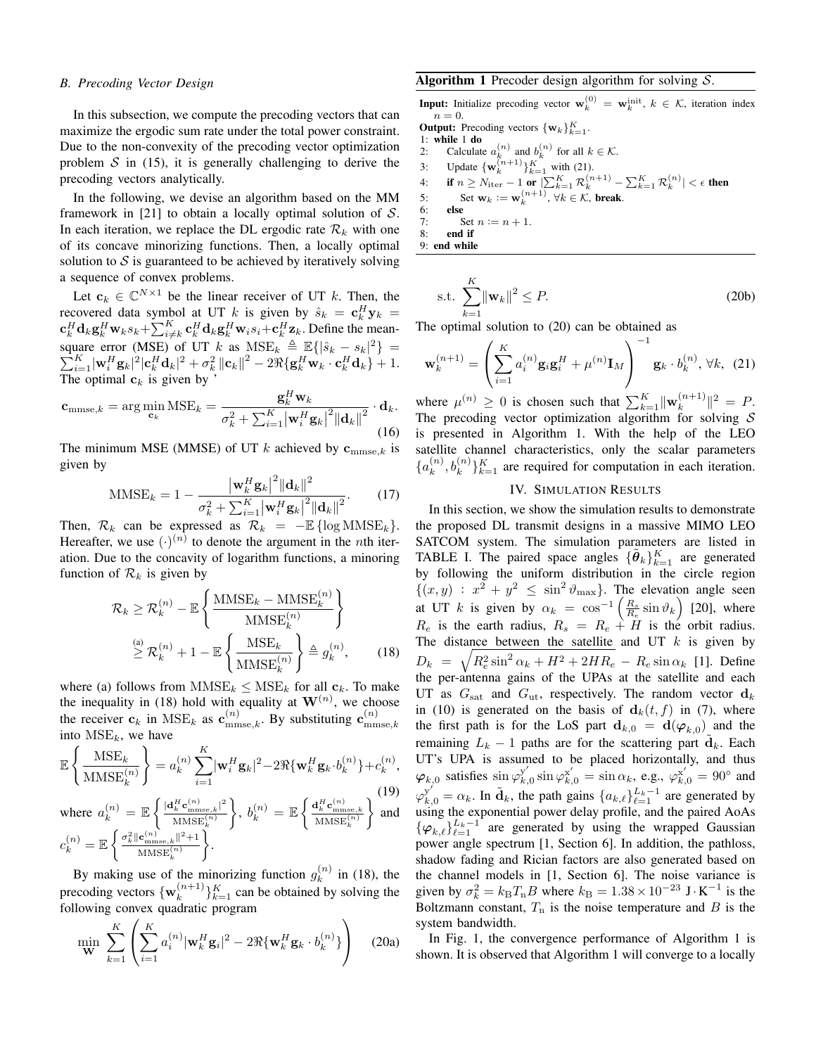#### *B. Precoding Vector Design*

In this subsection, we compute the precoding vectors that can maximize the ergodic sum rate under the total power constraint. Due to the non-convexity of the precoding vector optimization problem  $S$  in [\(15](#page-2-5)), it is generally challenging to derive the precoding vectors analytically.

In the following, we devise an algorithm based on the MM framework in [\[21\]](#page-4-18) to obtain a locally optimal solution of *S*. In each iteration, we replace the DL ergodic rate  $\mathcal{R}_k$  with one of its concave minorizing functions. Then, a locally optimal solution to  $S$  is guaranteed to be achieved by iteratively solving a sequence of convex problems.

Let  $c_k \in \mathbb{C}^{N \times 1}$  be the linear receiver of UT *k*. Then, the recovered data symbol at UT *k* is given by  $\hat{s}_k = \mathbf{c}_k^H \mathbf{y}_k =$  $\mathbf{c}_k^H \mathbf{d}_k \mathbf{g}_k^H \mathbf{w}_k s_k + \sum_{i \neq k}^K \mathbf{c}_k^H \mathbf{d}_k \mathbf{g}_k^H \mathbf{w}_i s_i + \mathbf{c}_k^H \mathbf{z}_k$ . Define the meansquare error (MSE) of UT *k* as  $MSE_k \triangleq \mathbb{E}\{|\hat{s}_k - s_k|^2\}$  $\sum$ Lare error (MSE) of UT k as  $MSE_k \triangleq \mathbb{E}\{|\hat{s}_k - s_k|^2\} = \frac{K}{k-1} |\mathbf{w}_i^H \mathbf{g}_k|^2 |\mathbf{c}_k^H \mathbf{d}_k|^2 + \sigma_k^2 ||\mathbf{c}_k||^2 - 2\Re\{\mathbf{g}_k^H \mathbf{w}_k \cdot \mathbf{c}_k^H \mathbf{d}_k\} + 1.$ The optimal  $\mathbf{c}_k$  is given by '

$$
\mathbf{c}_{\text{mmse},k} = \arg\min_{\mathbf{c}_k} \text{MSE}_k = \frac{\mathbf{g}_k^H \mathbf{w}_k}{\sigma_k^2 + \sum_{i=1}^K \left| \mathbf{w}_i^H \mathbf{g}_k \right|^2 \left\| \mathbf{d}_k \right\|^2} \cdot \mathbf{d}_k. \tag{16}
$$

The minimum MSE (MMSE) of UT  $k$  achieved by  $c_{mmse,k}$  is given by

$$
\text{MMSE}_{k} = 1 - \frac{\left| \mathbf{w}_{k}^{H} \mathbf{g}_{k} \right|^{2} \left| \mathbf{d}_{k} \right|^{2}}{\sigma_{k}^{2} + \sum_{i=1}^{K} \left| \mathbf{w}_{i}^{H} \mathbf{g}_{k} \right|^{2} \left| \mathbf{d}_{k} \right|^{2}}.
$$
 (17)

Then,  $\mathcal{R}_k$  can be expressed as  $\mathcal{R}_k = -\mathbb{E} \{ \log \text{MMSE}_k \}.$ Hereafter, we use  $(\cdot)^{(n)}$  to denote the argument in the *n*th iteration. Due to the concavity of logarithm functions, a minoring function of  $\mathcal{R}_k$  is given by

$$
\mathcal{R}_k \ge \mathcal{R}_k^{(n)} - \mathbb{E}\left\{\frac{\text{MMSE}_k - \text{MMSE}_k^{(n)}}{\text{MMSE}_k^{(n)}}\right\}
$$

$$
\ge \mathcal{R}_k^{(n)} + 1 - \mathbb{E}\left\{\frac{\text{MSE}_k}{\text{MMSE}_k^{(n)}}\right\} \triangleq g_k^{(n)},\qquad(18)
$$

where (a) follows from  $MMSE_k \leq MSE_k$  for all  $c_k$ . To make the inequality in ([18\)](#page-3-0) hold with equality at  $W^{(n)}$ , we choose the receiver  $\mathbf{c}_k$  in  $MSE_k$  as  $\mathbf{c}_{\text{mmse},k}^{(n)}$ . By substituting  $\mathbf{c}_{\text{mn}}^{(n)}$ mmse*,k* into MSE*k*, we have

$$
\mathbb{E}\left\{\frac{\text{MSE}_k}{\text{MMSE}_k^{(n)}}\right\} = a_k^{(n)} \sum_{i=1}^K |\mathbf{w}_i^H \mathbf{g}_k|^2 - 2\Re{\{\mathbf{w}_k^H \mathbf{g}_k \cdot b_k^{(n)}\}} + c_k^{(n)},
$$
\n(19)

where 
$$
a_k^{(n)} = \mathbb{E}\left\{\frac{|\mathbf{d}_k^H \mathbf{c}_{\text{mmse},k}^{(n)}|^2}{\text{MMSE}_k^{(n)}}\right\}
$$
,  $b_k^{(n)} = \mathbb{E}\left\{\frac{\mathbf{d}_k^H \mathbf{c}_{\text{mmse},k}^{(n)}}{\text{MMSE}_k^{(n)}}\right\}$  and  $c_k^{(n)} = \mathbb{E}\left\{\frac{\sigma_k^2 \|\mathbf{c}_{\text{mmse},k}^{(n)}\|^2 + 1}{\text{MMSE}_k^{(n)}}\right\}$ .

By making use of the minorizing function  $g_k^{(n)}$  $\binom{n}{k}$  in [\(18](#page-3-0)), the precoding vectors  $\{w_k^{(n+1)}\}$  ${k^{(n+1)} \atop k}$   $\}$ <sup>*K*</sup><sub> $k=1$ </sub> can be obtained by solving the following convex quadratic program

$$
\min_{\mathbf{W}} \sum_{k=1}^{K} \left( \sum_{i=1}^{K} a_i^{(n)} |\mathbf{w}_k^H \mathbf{g}_i|^2 - 2 \Re{\{\mathbf{w}_k^H \mathbf{g}_k \cdot b_k^{(n)}\}} \right) \tag{20a}
$$

# <span id="page-3-3"></span>Algorithm 1 Precoder design algorithm for solving *S*.

**Input:** Initialize precoding vector  $\mathbf{w}_k^{(0)} = \mathbf{w}_k^{\text{init}}, k \in \mathcal{K}$ , iteration index  $n = 0$ . **Output:** Precoding vectors  $\{w_k\}_{k=1}^K$ . 1: **while 1 do**<br>2: Calculate 2: Calculate  $a_k^{(n)}$  and  $b_k^{(n)}$  for all  $k \in \mathcal{K}$ . 3: Update  ${\mathbf{w}_k^{(n+1)}}_{k=1}^K$  with [\(21](#page-3-1)). 4: **if**  $n \ge N_{\text{iter}} - 1$  or  $|\sum_{k=1}^{K} \mathcal{R}_k^{(n+1)} - \sum_{k=1}^{K} \mathcal{R}_k^{(n)}| < \epsilon$  then 5: Set  $\mathbf{w}_k := \mathbf{w}_k^{(n+1)}, \forall k \in \mathcal{K}$ , break.

6: else<br>7:  $S$ 7: Set  $n := n + 1$ .<br>8: **end if** end if

9: end while

s.t. 
$$
\sum_{k=1}^{K} ||\mathbf{w}_k||^2 \le P.
$$
 (20b)

The optimal solution to [\(20](#page-3-2)) can be obtained as

$$
\mathbf{w}_{k}^{(n+1)} = \left(\sum_{i=1}^{K} a_{i}^{(n)} \mathbf{g}_{i} \mathbf{g}_{i}^{H} + \mu^{(n)} \mathbf{I}_{M}\right)^{-1} \mathbf{g}_{k} \cdot b_{k}^{(n)}, \forall k, (21)
$$

where  $\mu^{(n)} \geq 0$  is chosen such that  $\sum_{k=1}^{K} ||\mathbf{w}_k^{(n+1)}||$  $\| \binom{n+1}{k} \|^2 = P.$ The precoding vector optimization algorithm for solving *S* is presented in Algorithm [1.](#page-3-3) With the help of the LEO satellite channel characteristics, only the scalar parameters  $\{a_k^{(n)}\}$  $h_k^{(n)}, h_k^{(n)}\}_{k=1}^K$  are required for computation in each iteration.

# <span id="page-3-1"></span>IV. SIMULATION RESULTS

<span id="page-3-0"></span>(19)  $\varphi_{k,0}^{y'} = \alpha_k$ . In  $\tilde{\mathbf{d}}_k$ , the path gains  $\{a_{k,\ell}\}_{\ell=1}^{L_k-1}$  are generated by In this section, we show the simulation results to demonstrate the proposed DL transmit designs in a massive MIMO LEO SATCOM system. The simulation parameters are listed in TABLE [I.](#page-4-19) The paired space angles  ${\{\tilde{\theta}_k\}}_{k=1}^K$  are generated by following the uniform distribution in the circle region  $\{(x, y) : x^2 + y^2 \le \sin^2 \theta_{\text{max}}\}$ . The elevation angle seen at UT *k* is given by  $\alpha_k = \cos^{-1}\left(\frac{R_s}{R_e}\sin\vartheta_k\right)$  [[20\]](#page-4-17), where  $R_e$  is the earth radius,  $R_s = R_e + H$  is the orbit radius. The distance between the satellite and UT *k* is given by  $D_k = \sqrt{R_e^2 \sin^2 \alpha_k + H^2 + 2HR_e} - R_e \sin \alpha_k$  [\[1](#page-4-0)]. Define the per-antenna gains of the UPAs at the satellite and each UT as  $G_{\text{sat}}$  and  $G_{\text{ut}}$ , respectively. The random vector  $d_k$ in [\(10](#page-2-1)) is generated on the basis of  $\mathbf{d}_k(t, f)$  in ([7\)](#page-2-6), where the first path is for the LoS part  $\mathbf{d}_{k,0} = \mathbf{d}(\varphi_{k,0})$  and the remaining  $L_k - 1$  paths are for the scattering part  $\tilde{d}_k$ . Each UT's UPA is assumed to be placed horizontally, and thus  $\varphi_{k,0}$  satisfies  $\sin \varphi_{k,0}^{\mathbf{y}'} \sin \varphi_{k,0}^{\mathbf{x}'} = \sin \alpha_k$ , e.g.,  $\varphi_{k,0}^{\mathbf{x}'} = 90^\circ$  and using the exponential power delay profile, and the paired AoAs  $\{\varphi_{k,\ell}\}_{\ell=1}^{L_k-1}$  are generated by using the wrapped Gaussian power angle spectrum [\[1](#page-4-0), Section 6]. In addition, the pathloss, shadow fading and Rician factors are also generated based on the channel models in [[1,](#page-4-0) Section 6]. The noise variance is given by  $\sigma_k^2 = k_B T_n B$  where  $k_B = 1.38 \times 10^{-23}$  J·K<sup>-1</sup> is the Boltzmann constant,  $T_n$  is the noise temperature and  $B$  is the system bandwidth.

<span id="page-3-2"></span>In Fig. [1,](#page-4-20) the convergence performance of Algorithm [1](#page-3-3) is shown. It is observed that Algorithm [1](#page-3-3) will converge to a locally